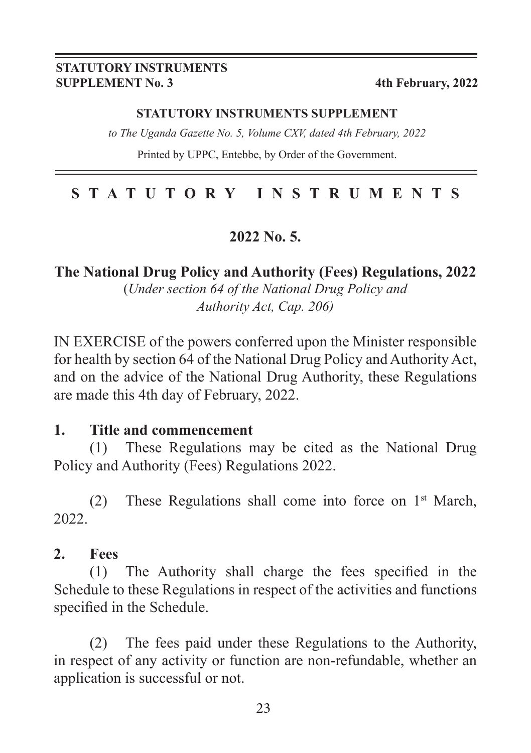#### **STATUTORY INSTRUMENTS SUPPLEMENT No. 3 4th February, 2022**

#### **STATUTORY INSTRUMENTS SUPPLEMENT**

*to The Uganda Gazette No. 5, Volume CXV, dated 4th February, 2022*

Printed by UPPC, Entebbe, by Order of the Government.

## **STATUTORY INSTRUMENTS**

#### **2022 No. 5.**

**The National Drug Policy and Authority (Fees) Regulations, 2022**

(*Under section 64 of the National Drug Policy and Authority Act, Cap. 206)*

IN EXERCISE of the powers conferred upon the Minister responsible for health by section 64 of the National Drug Policy and Authority Act, and on the advice of the National Drug Authority, these Regulations are made this 4th day of February, 2022.

#### **1. Title and commencement**

(1) These Regulations may be cited as the National Drug Policy and Authority (Fees) Regulations 2022.

(2) These Regulations shall come into force on  $1<sup>st</sup>$  March, 2022.

#### **2. Fees**

(1) The Authority shall charge the fees specified in the Schedule to these Regulations in respect of the activities and functions specified in the Schedule.

(2) The fees paid under these Regulations to the Authority, in respect of any activity or function are non-refundable, whether an application is successful or not.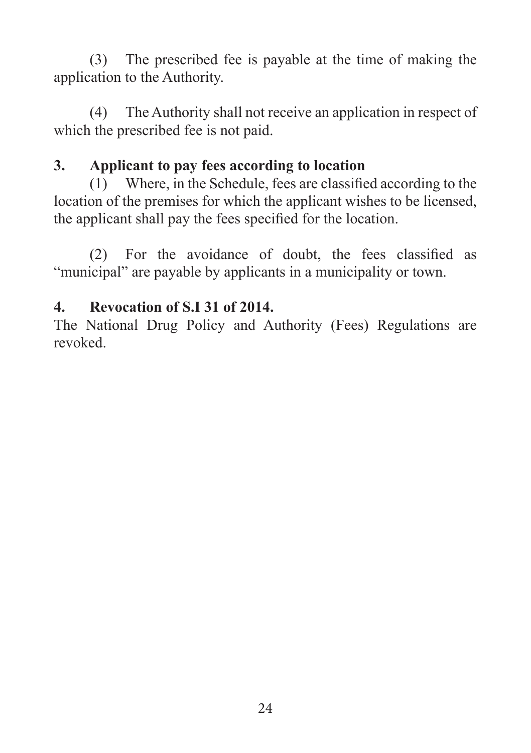(3) The prescribed fee is payable at the time of making the application to the Authority.

(4) The Authority shall not receive an application in respect of which the prescribed fee is not paid.

## **3. Applicant to pay fees according to location**

(1) Where, in the Schedule, fees are classified according to the location of the premises for which the applicant wishes to be licensed, the applicant shall pay the fees specified for the location.

(2) For the avoidance of doubt, the fees classified as "municipal" are payable by applicants in a municipality or town.

## **4. Revocation of S.I 31 of 2014.**

The National Drug Policy and Authority (Fees) Regulations are revoked.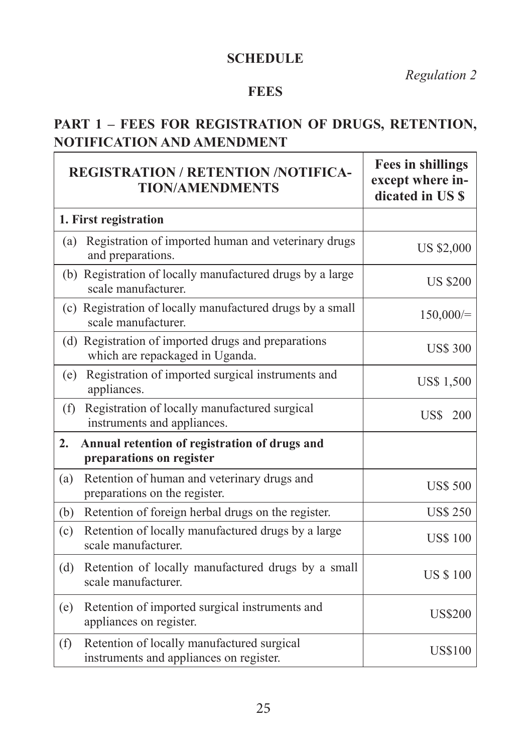#### **SCHEDULE**

*Regulation 2*

#### **FEES**

#### **PART 1 – FEES FOR REGISTRATION OF DRUGS, RETENTION, NOTIFICATION AND AMENDMENT**

|     | <b>REGISTRATION / RETENTION /NOTIFICA-</b><br><b>TION/AMENDMENTS</b>                   | <b>Fees in shillings</b><br>except where in-<br>dicated in US \$ |
|-----|----------------------------------------------------------------------------------------|------------------------------------------------------------------|
|     | 1. First registration                                                                  |                                                                  |
| (a) | Registration of imported human and veterinary drugs<br>and preparations.               | <b>US \$2,000</b>                                                |
|     | (b) Registration of locally manufactured drugs by a large<br>scale manufacturer.       | <b>US \$200</b>                                                  |
|     | (c) Registration of locally manufactured drugs by a small<br>scale manufacturer.       | 150,000/                                                         |
|     | (d) Registration of imported drugs and preparations<br>which are repackaged in Uganda. | <b>US\$ 300</b>                                                  |
| (e) | Registration of imported surgical instruments and<br>appliances.                       | <b>US\$ 1,500</b>                                                |
| (f) | Registration of locally manufactured surgical<br>instruments and appliances.           | US\$<br>200                                                      |
| 2.  | Annual retention of registration of drugs and<br>preparations on register              |                                                                  |
| (a) | Retention of human and veterinary drugs and<br>preparations on the register.           | <b>US\$ 500</b>                                                  |
| (b) | Retention of foreign herbal drugs on the register.                                     | <b>US\$ 250</b>                                                  |
| (c) | Retention of locally manufactured drugs by a large<br>scale manufacturer.              | <b>US\$ 100</b>                                                  |
| (d) | Retention of locally manufactured drugs by a small<br>scale manufacturer.              | <b>US \$100</b>                                                  |
| (e) | Retention of imported surgical instruments and<br>appliances on register.              | <b>US\$200</b>                                                   |
| (f) | Retention of locally manufactured surgical<br>instruments and appliances on register.  | <b>US\$100</b>                                                   |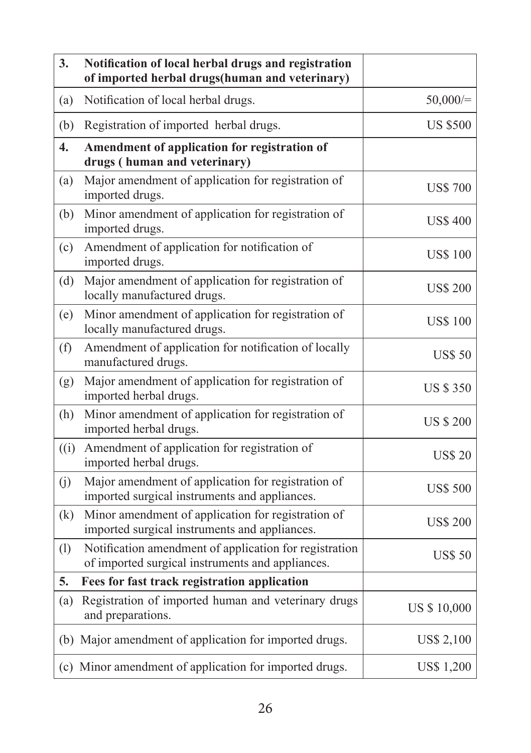| 3.                                    | Notification of local herbal drugs and registration<br>of imported herbal drugs(human and veterinary)      |                    |
|---------------------------------------|------------------------------------------------------------------------------------------------------------|--------------------|
| (a)                                   | Notification of local herbal drugs.                                                                        | 50,000/            |
| (b)                                   | Registration of imported herbal drugs.                                                                     | <b>US \$500</b>    |
| $\overline{4}$ .                      | Amendment of application for registration of<br>drugs (human and veterinary)                               |                    |
| (a)                                   | Major amendment of application for registration of<br>imported drugs.                                      | <b>US\$700</b>     |
| (b)                                   | Minor amendment of application for registration of<br>imported drugs.                                      | <b>US\$ 400</b>    |
| (c)                                   | Amendment of application for notification of<br>imported drugs.                                            | <b>US\$ 100</b>    |
| (d)                                   | Major amendment of application for registration of<br>locally manufactured drugs.                          | <b>US\$ 200</b>    |
| (e)                                   | Minor amendment of application for registration of<br>locally manufactured drugs.                          | <b>US\$ 100</b>    |
| (f)                                   | Amendment of application for notification of locally<br>manufactured drugs.                                | <b>US\$ 50</b>     |
| (g)                                   | Major amendment of application for registration of<br>imported herbal drugs.                               | <b>US \$350</b>    |
| (h)                                   | Minor amendment of application for registration of<br>imported herbal drugs.                               | <b>US \$ 200</b>   |
| $\left( \mathrm{(}i\mathrm{)}\right)$ | Amendment of application for registration of<br>imported herbal drugs.                                     | <b>US\$ 20</b>     |
| (j)                                   | Major amendment of application for registration of<br>imported surgical instruments and appliances.        | <b>US\$ 500</b>    |
| (k)                                   | Minor amendment of application for registration of<br>imported surgical instruments and appliances.        | <b>US\$ 200</b>    |
| (1)                                   | Notification amendment of application for registration<br>of imported surgical instruments and appliances. | <b>US\$ 50</b>     |
| 5.                                    | Fees for fast track registration application                                                               |                    |
| (a)                                   | Registration of imported human and veterinary drugs<br>and preparations.                                   | <b>US \$10,000</b> |
|                                       | (b) Major amendment of application for imported drugs.                                                     | <b>US\$ 2,100</b>  |
|                                       | (c) Minor amendment of application for imported drugs.                                                     | US\$ 1,200         |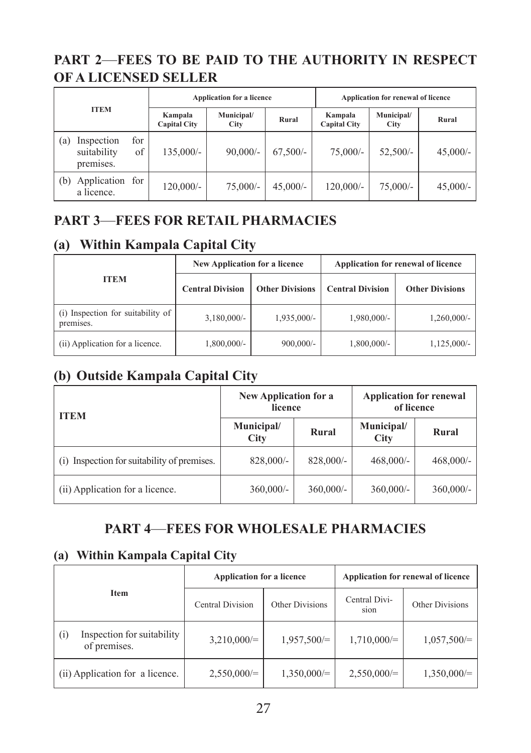#### **PART 2**—**FEES TO BE PAID TO THE AUTHORITY IN RESPECT OF A LICENSED SELLER**

| <b>ITEM</b> |                                        | <b>Application for a licence</b> |                    |            | Application for renewal of licence |                    |            |            |
|-------------|----------------------------------------|----------------------------------|--------------------|------------|------------------------------------|--------------------|------------|------------|
|             |                                        | Kampala<br><b>Capital City</b>   | Municipal/<br>City | Rural      | Kampala<br><b>Capital City</b>     | Municipal/<br>City | Rural      |            |
| (a)         | Inspection<br>suitability<br>premises. | for<br>of                        | $135,000/-$        | $90,000/-$ | $67.500/-$                         | $75,000/-$         | $52.500/-$ | $45,000/-$ |
| (b)         | Application for<br>a licence.          |                                  | $120,000/-$        | $75,000/-$ | $45.000/-$                         | 120,000/-          | $75,000/-$ | $45,000/-$ |

## **PART 3**—**FEES FOR RETAIL PHARMACIES**

## **(a) Within Kampala Capital City**

|                                                | <b>New Application for a licence</b> |                        | Application for renewal of licence |                        |  |
|------------------------------------------------|--------------------------------------|------------------------|------------------------------------|------------------------|--|
| <b>ITEM</b>                                    | <b>Central Division</b>              | <b>Other Divisions</b> | <b>Central Division</b>            | <b>Other Divisions</b> |  |
| (i) Inspection for suitability of<br>premises. | $3,180,000/$ -                       | $1,935,000/-$          | 1,980,000/-                        | $1,260,000/$ -         |  |
| (ii) Application for a licence.                | 1,800,000/-                          | $900,000/$ -           | $1,800,000/$ -                     | $1,125,000/-$          |  |

## **(b) Outside Kampala Capital City**

| <b>ITEM</b>                                 | New Application for a<br>licence |              | <b>Application for renewal</b><br>of licence |              |  |
|---------------------------------------------|----------------------------------|--------------|----------------------------------------------|--------------|--|
|                                             | Municipal/<br>City               | Rural        | Municipal/<br><b>City</b>                    | Rural        |  |
| (i) Inspection for suitability of premises. | $828,000/$ -                     | $828,000/$ - | $468,000/$ -                                 | $468,000/$ - |  |
| (ii) Application for a licence.             | $360,000/$ -                     | $360,000/$ - | $360,000/-$                                  | $360,000/$ - |  |

#### **PART 4**—**FEES FOR WHOLESALE PHARMACIES**

#### **(a) Within Kampala Capital City**

|                                                   | <b>Application for a licence</b> |                 | Application for renewal of licence |                 |  |
|---------------------------------------------------|----------------------------------|-----------------|------------------------------------|-----------------|--|
| Item                                              | <b>Central Division</b>          | Other Divisions | Central Divi-<br>sion              | Other Divisions |  |
| Inspection for suitability<br>(i)<br>of premises. | $3,210,000/=$                    | $1,957,500 =$   | $1,710,000 =$                      | $1,057,500/=$   |  |
| (ii) Application for a licence.                   | $2,550,000/=$                    | $1,350,000/=$   | $2,550,000 =$                      | $1,350,000/=$   |  |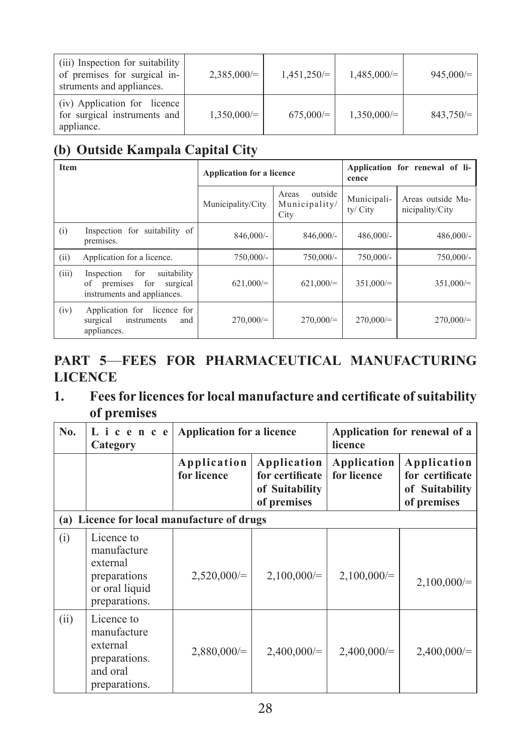| (iii) Inspection for suitability<br>of premises for surgical in-<br>struments and appliances. | $2,385,000 =$   | $1,451,250 =$ | $1,485,000/=$ | $945,000 =$ |
|-----------------------------------------------------------------------------------------------|-----------------|---------------|---------------|-------------|
| (iv) Application for licence<br>for surgical instruments and<br>appliance.                    | $1,350,000 = 1$ | $675,000 =$   | $1,350,000/=$ | 843,750/    |

## **(b) Outside Kampala Capital City**

| Item  |                                                                                                   | <b>Application for a licence</b> |                                           | Application for renewal of li-<br>cence |                                      |
|-------|---------------------------------------------------------------------------------------------------|----------------------------------|-------------------------------------------|-----------------------------------------|--------------------------------------|
|       |                                                                                                   | Municipality/City                | outside<br>Areas<br>Municipality/<br>City | Municipali-<br>ty/ City                 | Areas outside Mu-<br>nicipality/City |
| (i)   | Inspection for suitability of<br>premises.                                                        | 846,000/-                        | $846,000/$ -                              | $486,000/-$                             | $486,000/-$                          |
| (ii)  | Application for a licence.                                                                        | $750,000/-$                      | $750,000/-$                               | 750,000/-                               | $750,000/-$                          |
| (iii) | suitability<br>for<br>Inspection<br>premises for<br>surgical<br>οf<br>instruments and appliances. | $621,000 =$                      | $621,000 =$                               | 351,000/                                | 351,000/                             |
| (iv)  | Application for licence for<br>surgical<br>instruments<br>and<br>appliances.                      | $270,000/=$                      | $270,000/=$                               | $270,000/=$                             | $270,000/=$                          |

## **PART 5**—**FEES FOR PHARMACEUTICAL MANUFACTURING LICENCE**

#### **1. Fees for licences for local manufacture and certificate of suitability of premises**

| No.  | Licence<br>Category                                                                      | <b>Application for a licence</b> |                                                                 | Application for renewal of a<br>licence |                                                                 |
|------|------------------------------------------------------------------------------------------|----------------------------------|-----------------------------------------------------------------|-----------------------------------------|-----------------------------------------------------------------|
|      |                                                                                          | Application<br>for licence       | Application<br>for certificate<br>of Suitability<br>of premises | Application<br>for licence              | Application<br>for certificate<br>of Suitability<br>of premises |
| (a)  | Licence for local manufacture of drugs                                                   |                                  |                                                                 |                                         |                                                                 |
| (i)  | Licence to<br>manufacture<br>external<br>preparations<br>or oral liquid<br>preparations. | $2,520,000 =$                    | $2,100,000/=$                                                   | $2,100,000/=$                           | $2,100,000/=$                                                   |
| (ii) | Licence to<br>manufacture<br>external<br>preparations.<br>and oral<br>preparations.      | $2,880,000/=$                    | $2,400,000/=$                                                   | $2,400,000/=$                           | $2,400,000/=$                                                   |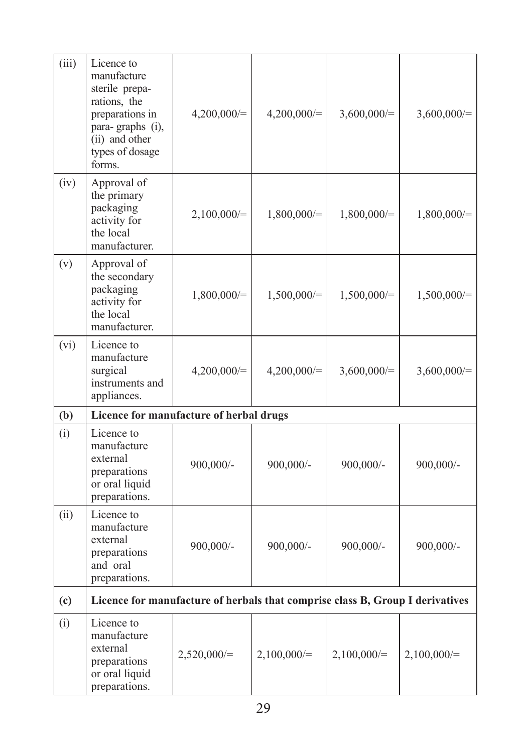| (iii) | Licence to<br>manufacture<br>sterile prepa-<br>rations, the<br>preparations in<br>para-graphs (i),<br>(ii) and other<br>types of dosage<br>forms. | $4,200,000/=$ | $4,200,000/=$ | $3,600,000/=$ | $3,600,000/=$ |
|-------|---------------------------------------------------------------------------------------------------------------------------------------------------|---------------|---------------|---------------|---------------|
| (iv)  | Approval of<br>the primary<br>packaging<br>activity for<br>the local<br>manufacturer.                                                             | $2,100,000/=$ | $1,800,000/=$ | $1,800,000/=$ | $1,800,000/=$ |
| (v)   | Approval of<br>the secondary<br>packaging<br>activity for<br>the local<br>manufacturer.                                                           | $1,800,000/=$ | $1,500,000/=$ | $1,500,000/=$ | $1,500,000/=$ |
| (vi)  | Licence to<br>manufacture<br>surgical<br>instruments and<br>appliances.                                                                           | $4,200,000/=$ | $4,200,000/=$ | $3,600,000/=$ | $3,600,000/=$ |
| (b)   | Licence for manufacture of herbal drugs                                                                                                           |               |               |               |               |
| (i)   | Licence to<br>manufacture<br>external<br>preparations<br>or oral liquid<br>preparations.                                                          | 900,000/-     | 900,000/-     | 900,000/-     | 900,000/-     |
| (ii)  | Licence to<br>manufacture<br>external<br>preparations<br>and oral<br>preparations.                                                                | 900,000/-     | 900,000/-     | 900,000/-     | 900,000/-     |
| (c)   | Licence for manufacture of herbals that comprise class B, Group I derivatives                                                                     |               |               |               |               |
| (i)   | Licence to<br>manufacture<br>external<br>preparations<br>or oral liquid<br>preparations.                                                          | $2,520,000/=$ | $2,100,000/=$ | $2,100,000/=$ | $2,100,000/=$ |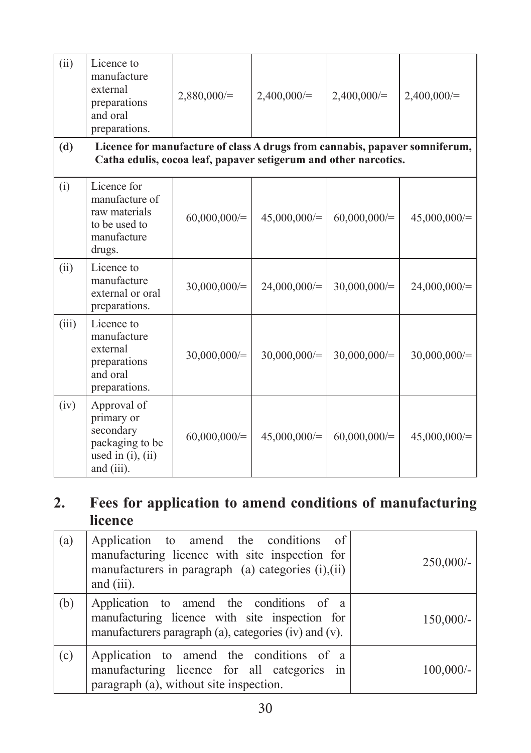| (ii)  | Licence to<br>manufacture<br>external<br>preparations<br>and oral<br>preparations.                                                              | $2,880,000/=$  | $2,400,000/=$  | $2,400,000/=$ | $2,400,000/=$  |  |  |
|-------|-------------------------------------------------------------------------------------------------------------------------------------------------|----------------|----------------|---------------|----------------|--|--|
| (d)   | Licence for manufacture of class A drugs from cannabis, papaver somniferum,<br>Catha edulis, cocoa leaf, papaver setigerum and other narcotics. |                |                |               |                |  |  |
| (i)   | Licence for<br>manufacture of<br>raw materials<br>to be used to<br>manufacture<br>drugs.                                                        | $60,000,000/=$ | $45,000,000/=$ | 60,000,000/   | $45,000,000/=$ |  |  |
| (ii)  | Licence to<br>manufacture<br>external or oral<br>preparations.                                                                                  | 30,000,000/    | $24,000,000/=$ | 30,000,000/   | $24,000,000/=$ |  |  |
| (iii) | Licence to<br>manufacture<br>external<br>preparations<br>and oral<br>preparations.                                                              | $30,000,000/=$ | 30,000,000/    | 30,000,000/   | 30,000,000/    |  |  |
| (iv)  | Approval of<br>primary or<br>secondary<br>packaging to be<br>used in $(i)$ , $(ii)$<br>and (iii).                                               | 60,000,000/    | $45,000,000/=$ | 60,000,000/   | $45,000,000/=$ |  |  |

## **2. Fees for application to amend conditions of manufacturing licence**

| (a) | Application to amend the conditions of<br>manufacturing licence with site inspection for<br>manufacturers in paragraph (a) categories (i), (ii)<br>and (iii). | $250,000/$ - |
|-----|---------------------------------------------------------------------------------------------------------------------------------------------------------------|--------------|
| (b) | Application to amend the conditions of a<br>manufacturing licence with site inspection for<br>manufacturers paragraph (a), categories (iv) and (v).           | $150,000/-$  |
| (c) | Application to amend the conditions of a<br>manufacturing licence for all categories in<br>paragraph (a), without site inspection.                            | $100,000/$ - |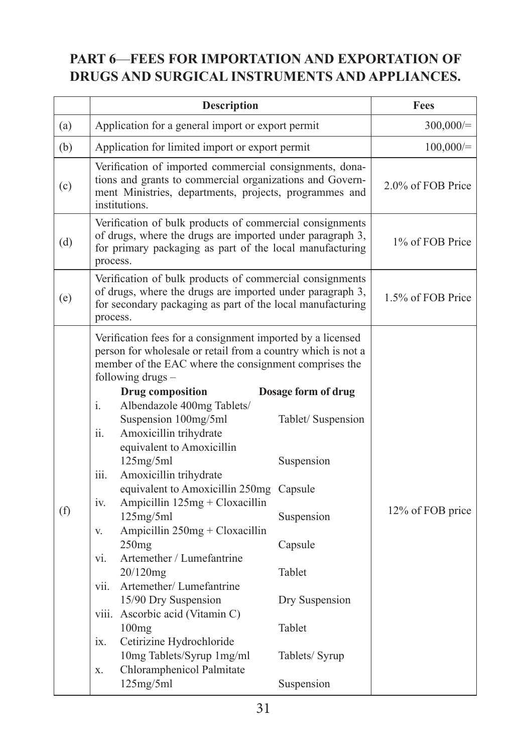## **PART 6**—**FEES FOR IMPORTATION AND EXPORTATION OF DRUGS AND SURGICAL INSTRUMENTS AND APPLIANCES.**

|     | <b>Description</b>                                                                                                                                                                                                                                                                                                                                                                                                                                                                                                                                                                                                                                                                                                                                                                                                               |                                                                                                                                                                   | Fees              |
|-----|----------------------------------------------------------------------------------------------------------------------------------------------------------------------------------------------------------------------------------------------------------------------------------------------------------------------------------------------------------------------------------------------------------------------------------------------------------------------------------------------------------------------------------------------------------------------------------------------------------------------------------------------------------------------------------------------------------------------------------------------------------------------------------------------------------------------------------|-------------------------------------------------------------------------------------------------------------------------------------------------------------------|-------------------|
| (a) | Application for a general import or export permit                                                                                                                                                                                                                                                                                                                                                                                                                                                                                                                                                                                                                                                                                                                                                                                |                                                                                                                                                                   | 300,000/          |
| (b) | Application for limited import or export permit                                                                                                                                                                                                                                                                                                                                                                                                                                                                                                                                                                                                                                                                                                                                                                                  |                                                                                                                                                                   | 100,000/          |
| (c) | Verification of imported commercial consignments, dona-<br>tions and grants to commercial organizations and Govern-<br>ment Ministries, departments, projects, programmes and<br>institutions.                                                                                                                                                                                                                                                                                                                                                                                                                                                                                                                                                                                                                                   |                                                                                                                                                                   | 2.0% of FOB Price |
| (d) | Verification of bulk products of commercial consignments<br>of drugs, where the drugs are imported under paragraph 3,<br>for primary packaging as part of the local manufacturing<br>process.                                                                                                                                                                                                                                                                                                                                                                                                                                                                                                                                                                                                                                    |                                                                                                                                                                   | 1% of FOB Price   |
| (e) | Verification of bulk products of commercial consignments<br>of drugs, where the drugs are imported under paragraph 3,<br>for secondary packaging as part of the local manufacturing<br>process.                                                                                                                                                                                                                                                                                                                                                                                                                                                                                                                                                                                                                                  |                                                                                                                                                                   | 1.5% of FOB Price |
| (f) | Verification fees for a consignment imported by a licensed<br>person for wholesale or retail from a country which is not a<br>member of the EAC where the consignment comprises the<br>following drugs -<br><b>Drug composition</b><br>$i$ .<br>Albendazole 400mg Tablets/<br>Suspension 100mg/5ml<br>Amoxicillin trihydrate<br>ii.<br>equivalent to Amoxicillin<br>125mg/5ml<br>Amoxicillin trihydrate<br>iii.<br>equivalent to Amoxicillin 250mg<br>Ampicillin 125mg + Cloxacillin<br>iv.<br>125mg/5ml<br>Ampicillin 250mg + Cloxacillin<br>V.<br>250mg<br>Artemether / Lumefantrine<br>vi.<br>20/120mg<br>Artemether/Lumefantrine<br>vii.<br>15/90 Dry Suspension<br>viii. Ascorbic acid (Vitamin C)<br>100mg<br>Cetirizine Hydrochloride<br>ix.<br>10mg Tablets/Syrup 1mg/ml<br>Chloramphenicol Palmitate<br>X.<br>125mg/5ml | Dosage form of drug<br>Tablet/ Suspension<br>Suspension<br>Capsule<br>Suspension<br>Capsule<br>Tablet<br>Dry Suspension<br>Tablet<br>Tablets/ Syrup<br>Suspension | 12% of FOB price  |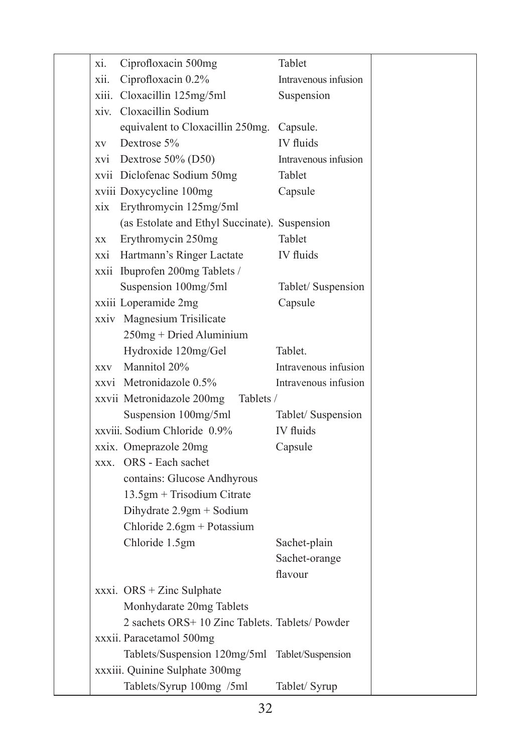| xi.  | Ciprofloxacin 500mg                             | Tablet               |
|------|-------------------------------------------------|----------------------|
| xii. | Ciprofloxacin 0.2%                              | Intravenous infusion |
|      | xiii. Cloxacillin 125mg/5ml                     | Suspension           |
|      | xiv. Cloxacillin Sodium                         |                      |
|      | equivalent to Cloxacillin 250mg.                | Capsule.             |
| XV   | Dextrose 5%                                     | IV fluids            |
|      | xvi Dextrose 50% (D50)                          | Intravenous infusion |
|      | xvii Diclofenac Sodium 50mg                     | Tablet               |
|      | xviii Doxycycline 100mg                         | Capsule              |
| xix  | Erythromycin 125mg/5ml                          |                      |
|      | (as Estolate and Ethyl Succinate). Suspension   |                      |
| XX   | Erythromycin 250mg                              | Tablet               |
|      | xxi Hartmann's Ringer Lactate                   | IV fluids            |
|      | xxii Ibuprofen 200mg Tablets /                  |                      |
|      | Suspension 100mg/5ml                            | Tablet/ Suspension   |
|      | xxiii Loperamide 2mg                            | Capsule              |
|      | xxiv Magnesium Trisilicate                      |                      |
|      | 250mg + Dried Aluminium                         |                      |
|      | Hydroxide 120mg/Gel                             | Tablet.              |
|      | xxy Mannitol 20%                                | Intravenous infusion |
|      | xxvi Metronidazole 0.5%                         | Intravenous infusion |
|      | xxvii Metronidazole 200mg<br>Tablets /          |                      |
|      | Suspension 100mg/5ml                            | Tablet/ Suspension   |
|      | xxviii. Sodium Chloride 0.9%                    | <b>IV</b> fluids     |
|      | xxix. Omeprazole 20mg                           | Capsule              |
|      | xxx. ORS - Each sachet                          |                      |
|      | contains: Glucose Andhyrous                     |                      |
|      | 13.5gm + Trisodium Citrate                      |                      |
|      | Dihydrate 2.9gm + Sodium                        |                      |
|      | Chloride $2.6gm + Potassium$                    |                      |
|      | Chloride 1.5gm                                  | Sachet-plain         |
|      |                                                 | Sachet-orange        |
|      |                                                 | flavour              |
|      | xxxi. ORS + Zinc Sulphate                       |                      |
|      | Monhydarate 20mg Tablets                        |                      |
|      | 2 sachets ORS+ 10 Zinc Tablets. Tablets/ Powder |                      |
|      | xxxii. Paracetamol 500mg                        |                      |
|      | Tablets/Suspension 120mg/5ml Tablet/Suspension  |                      |
|      | xxxiii. Quinine Sulphate 300mg                  |                      |
|      | Tablets/Syrup 100mg /5ml                        | Tablet/ Syrup        |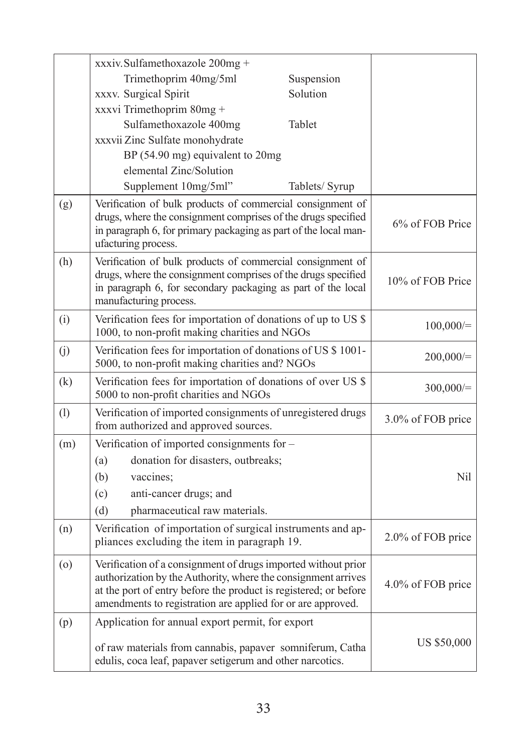|     | xxxiv.Sulfamethoxazole 200mg +                                                                                                                                                                                                                                    |                |                    |
|-----|-------------------------------------------------------------------------------------------------------------------------------------------------------------------------------------------------------------------------------------------------------------------|----------------|--------------------|
|     | Trimethoprim 40mg/5ml                                                                                                                                                                                                                                             | Suspension     |                    |
|     | xxxv. Surgical Spirit                                                                                                                                                                                                                                             | Solution       |                    |
|     | xxxvi Trimethoprim 80mg +                                                                                                                                                                                                                                         |                |                    |
|     | Sulfamethoxazole 400mg                                                                                                                                                                                                                                            | Tablet         |                    |
|     | xxxvii Zinc Sulfate monohydrate                                                                                                                                                                                                                                   |                |                    |
|     | BP (54.90 mg) equivalent to 20mg                                                                                                                                                                                                                                  |                |                    |
|     | elemental Zinc/Solution                                                                                                                                                                                                                                           |                |                    |
|     | Supplement 10mg/5ml"                                                                                                                                                                                                                                              | Tablets/ Syrup |                    |
| (g) | Verification of bulk products of commercial consignment of<br>drugs, where the consignment comprises of the drugs specified<br>in paragraph 6, for primary packaging as part of the local man-<br>ufacturing process.                                             |                | 6% of FOB Price    |
| (h) | Verification of bulk products of commercial consignment of<br>drugs, where the consignment comprises of the drugs specified<br>in paragraph 6, for secondary packaging as part of the local<br>manufacturing process.                                             |                | 10% of FOB Price   |
| (i) | Verification fees for importation of donations of up to US \$<br>1000, to non-profit making charities and NGOs                                                                                                                                                    |                | 100,000/           |
| (j) | Verification fees for importation of donations of US \$ 1001-<br>5000, to non-profit making charities and? NGOs                                                                                                                                                   |                | 200,000/           |
| (k) | Verification fees for importation of donations of over US \$<br>5000 to non-profit charities and NGOs                                                                                                                                                             |                | 300,000/           |
| (1) | Verification of imported consignments of unregistered drugs<br>from authorized and approved sources.                                                                                                                                                              |                | 3.0% of FOB price  |
| (m) | Verification of imported consignments for -                                                                                                                                                                                                                       |                |                    |
|     | donation for disasters, outbreaks;<br>(a)                                                                                                                                                                                                                         |                |                    |
|     | (b)<br>vaccines:                                                                                                                                                                                                                                                  |                | Nil                |
|     | (c)<br>anti-cancer drugs; and                                                                                                                                                                                                                                     |                |                    |
|     | pharmaceutical raw materials.<br>(d)                                                                                                                                                                                                                              |                |                    |
| (n) | Verification of importation of surgical instruments and ap-<br>pliances excluding the item in paragraph 19.                                                                                                                                                       |                | 2.0% of FOB price  |
| (0) | Verification of a consignment of drugs imported without prior<br>authorization by the Authority, where the consignment arrives<br>at the port of entry before the product is registered; or before<br>amendments to registration are applied for or are approved. |                | 4.0% of FOB price  |
| (p) | Application for annual export permit, for export                                                                                                                                                                                                                  |                |                    |
|     | of raw materials from cannabis, papaver somniferum, Catha<br>edulis, coca leaf, papaver setigerum and other narcotics.                                                                                                                                            |                | <b>US \$50,000</b> |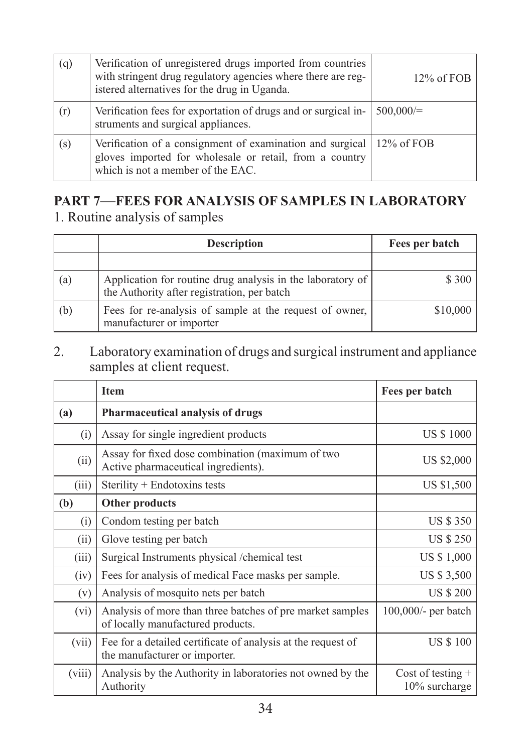| (q) | Verification of unregistered drugs imported from countries<br>with stringent drug regulatory agencies where there are reg-<br>istered alternatives for the drug in Uganda.   | $12\%$ of FOB |
|-----|------------------------------------------------------------------------------------------------------------------------------------------------------------------------------|---------------|
| (r) | Verification fees for exportation of drugs and or surgical in-<br>struments and surgical appliances.                                                                         | 500,000/      |
| (s) | Verification of a consignment of examination and surgical $\vert$ 12% of FOB<br>gloves imported for wholesale or retail, from a country<br>which is not a member of the EAC. |               |

# **PART 7**—**FEES FOR ANALYSIS OF SAMPLES IN LABORATORY**

1. Routine analysis of samples

|     | <b>Description</b>                                                                                        | Fees per batch |
|-----|-----------------------------------------------------------------------------------------------------------|----------------|
|     |                                                                                                           |                |
| (a) | Application for routine drug analysis in the laboratory of<br>the Authority after registration, per batch | \$ 300         |
| (b) | Fees for re-analysis of sample at the request of owner,<br>manufacturer or importer                       | \$10,000       |

2. Laboratory examination of drugs and surgical instrument and appliance samples at client request.

|        | <b>Item</b>                                                                                    | Fees per batch                          |
|--------|------------------------------------------------------------------------------------------------|-----------------------------------------|
| (a)    | Pharmaceutical analysis of drugs                                                               |                                         |
| (i)    | Assay for single ingredient products                                                           | <b>US \$1000</b>                        |
| (ii)   | Assay for fixed dose combination (maximum of two<br>Active pharmaceutical ingredients).        | US \$2,000                              |
| (iii)  | Sterility + Endotoxins tests                                                                   | US \$1,500                              |
| (b)    | Other products                                                                                 |                                         |
| (i)    | Condom testing per batch                                                                       | <b>US \$350</b>                         |
| (i)    | Glove testing per batch                                                                        | <b>US \$ 250</b>                        |
| (iii)  | Surgical Instruments physical /chemical test                                                   | US \$ 1,000                             |
| (iv)   | Fees for analysis of medical Face masks per sample.                                            | US \$ 3,500                             |
| (v)    | Analysis of mosquito nets per batch                                                            | <b>US \$ 200</b>                        |
| (vi)   | Analysis of more than three batches of pre market samples<br>of locally manufactured products. | 100,000/- per batch                     |
| (vii)  | Fee for a detailed certificate of analysis at the request of<br>the manufacturer or importer.  | <b>US \$100</b>                         |
| (viii) | Analysis by the Authority in laboratories not owned by the<br>Authority                        | Cost of testing $+$<br>$10\%$ surcharge |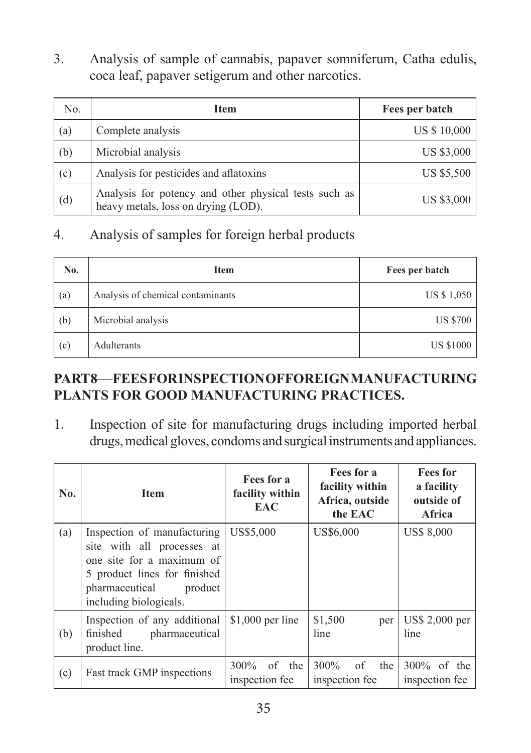3. Analysis of sample of cannabis, papaver somniferum, Catha edulis, coca leaf, papaver setigerum and other narcotics.

| N <sub>0</sub> | <b>Item</b>                                                                                  | Fees per batch |
|----------------|----------------------------------------------------------------------------------------------|----------------|
| (a)            | Complete analysis                                                                            | US \$ 10,000   |
| (b)            | Microbial analysis                                                                           | US \$3,000     |
| (c)            | Analysis for pesticides and aflatoxins                                                       | US \$5,500     |
| (d)            | Analysis for potency and other physical tests such as<br>heavy metals, loss on drying (LOD). | US \$3,000     |

#### 4. Analysis of samples for foreign herbal products

| No. | <b>Item</b>                       | Fees per batch   |
|-----|-----------------------------------|------------------|
| (a) | Analysis of chemical contaminants | US \$ 1,050      |
| (b) | Microbial analysis                | <b>US \$700</b>  |
| (c) | Adulterants                       | <b>US \$1000</b> |

#### **PART 8**—**FEES FOR INSPECTION OF FOREIGN MANUFACTURING PLANTS FOR GOOD MANUFACTURING PRACTICES.**

1. Inspection of site for manufacturing drugs including imported herbal drugs, medical gloves, condoms and surgical instruments and appliances.

| No. | <b>Item</b>                                                                                                                                                                   | Fees for a<br>facility within<br><b>EAC</b> | Fees for a<br>facility within<br>Africa, outside<br>the EAC | <b>Fees</b> for<br>a facility<br>outside of<br><b>Africa</b> |
|-----|-------------------------------------------------------------------------------------------------------------------------------------------------------------------------------|---------------------------------------------|-------------------------------------------------------------|--------------------------------------------------------------|
| (a) | Inspection of manufacturing<br>site with all processes at<br>one site for a maximum of<br>5 product lines for finished<br>pharmaceutical<br>product<br>including biologicals. | US\$5,000                                   | US\$6,000                                                   | <b>US\$ 8,000</b>                                            |
| (b) | Inspection of any additional<br>pharmaceutical<br>finished<br>product line.                                                                                                   | $$1,000$ per line                           | \$1,500<br>per<br>line                                      | US\$ 2,000 per<br>line                                       |
| (c) | Fast track GMP inspections                                                                                                                                                    | $300\%$ of the<br>inspection fee            | $300\%$ of the<br>inspection fee                            | $300\%$ of the<br>inspection fee                             |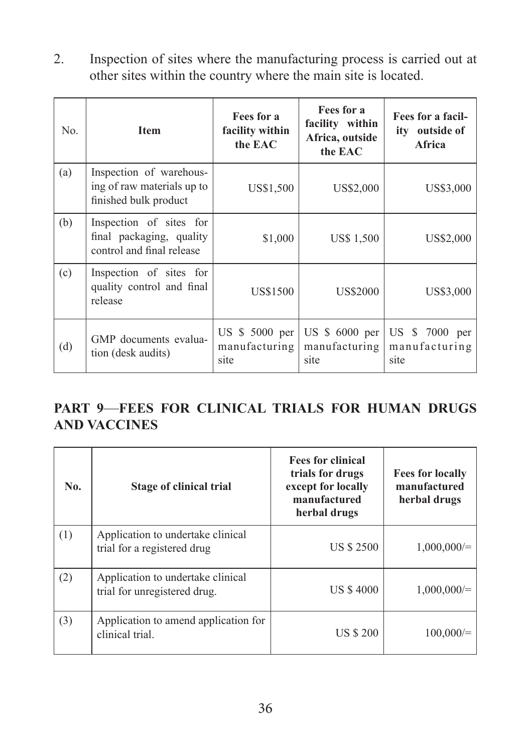2. Inspection of sites where the manufacturing process is carried out at other sites within the country where the main site is located.

| No. | <b>Item</b>                                                                      | Fees for a<br>facility within<br>the EAC | Fees for a<br>facility within<br>Africa, outside<br>the EAC | Fees for a facil-<br>ity outside of<br>Africa |
|-----|----------------------------------------------------------------------------------|------------------------------------------|-------------------------------------------------------------|-----------------------------------------------|
| (a) | Inspection of warehous-<br>ing of raw materials up to<br>finished bulk product   | US\$1,500                                | US\$2,000                                                   | US\$3,000                                     |
| (b) | Inspection of sites for<br>final packaging, quality<br>control and final release | \$1,000                                  | <b>US\$</b> 1,500                                           | US\$2,000                                     |
| (c) | Inspection of sites for<br>quality control and final<br>release                  | US\$1500                                 | US\$2000                                                    | US\$3,000                                     |
| (d) | GMP documents evalua-<br>tion (desk audits)                                      | US $$5000$ per<br>manufacturing<br>site  | US $$6000$ per<br>manufacturing<br>site                     | US \$ 7000 per<br>manufacturing<br>site       |

## **PART 9**—**FEES FOR CLINICAL TRIALS FOR HUMAN DRUGS AND VACCINES**

| No. | <b>Stage of clinical trial</b>                                    | <b>Fees for clinical</b><br>trials for drugs<br>except for locally<br>manufactured<br>herbal drugs | <b>Fees for locally</b><br>manufactured<br>herbal drugs |
|-----|-------------------------------------------------------------------|----------------------------------------------------------------------------------------------------|---------------------------------------------------------|
| (1) | Application to undertake clinical<br>trial for a registered drug  | <b>US \$ 2500</b>                                                                                  | $1,000,000/=$                                           |
| (2) | Application to undertake clinical<br>trial for unregistered drug. | <b>US \$4000</b>                                                                                   | $1,000,000/=$                                           |
| (3) | Application to amend application for<br>clinical trial.           | <b>US \$ 200</b>                                                                                   | 100,000/                                                |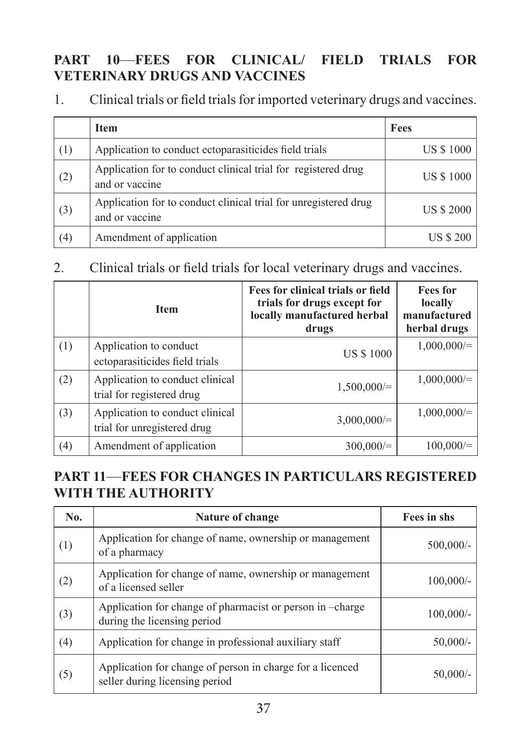#### **PART 10**—**FEES FOR CLINICAL/ FIELD TRIALS FOR VETERINARY DRUGS AND VACCINES**

1. Clinical trials or field trials for imported veterinary drugs and vaccines.

|     | <b>Item</b>                                                                       | Fees              |
|-----|-----------------------------------------------------------------------------------|-------------------|
| (1) | Application to conduct ectoparasiticides field trials                             | <b>US \$1000</b>  |
| (2) | Application for to conduct clinical trial for registered drug<br>and or vaccine   | <b>US \$1000</b>  |
| (3) | Application for to conduct clinical trial for unregistered drug<br>and or vaccine | <b>US \$ 2000</b> |
| (4) | Amendment of application                                                          | <b>US \$ 200</b>  |

#### 2. Clinical trials or field trials for local veterinary drugs and vaccines.

|     | <b>Item</b>                                                    | Fees for clinical trials or field<br>trials for drugs except for<br>locally manufactured herbal<br>drugs | <b>Fees for</b><br>locally<br>manufactured<br>herbal drugs |
|-----|----------------------------------------------------------------|----------------------------------------------------------------------------------------------------------|------------------------------------------------------------|
| (1) | Application to conduct<br>ectoparasiticides field trials       | <b>US \$1000</b>                                                                                         | $1,000,000/=$                                              |
| (2) | Application to conduct clinical<br>trial for registered drug   | $1,500,000/=$                                                                                            | $1,000,000/=$                                              |
| (3) | Application to conduct clinical<br>trial for unregistered drug | $3,000,000/=$                                                                                            | $1,000,000/=$                                              |
| (4) | Amendment of application                                       | $300,000/=$                                                                                              | $100,000/=$                                                |

## **PART 11**—**FEES FOR CHANGES IN PARTICULARS REGISTERED WITH THE AUTHORITY**

| N <sub>0</sub> . | Nature of change                                                                            | Fees in shs  |
|------------------|---------------------------------------------------------------------------------------------|--------------|
| (1)              | Application for change of name, ownership or management<br>of a pharmacy                    | $500,000/$ - |
| (2)              | Application for change of name, ownership or management<br>of a licensed seller             | $100,000/-$  |
| (3)              | Application for change of pharmacist or person in -charge<br>during the licensing period    | $100,000/$ - |
| (4)              | Application for change in professional auxiliary staff                                      | $50,000/-$   |
| (5)              | Application for change of person in charge for a licenced<br>seller during licensing period | 50,000/      |